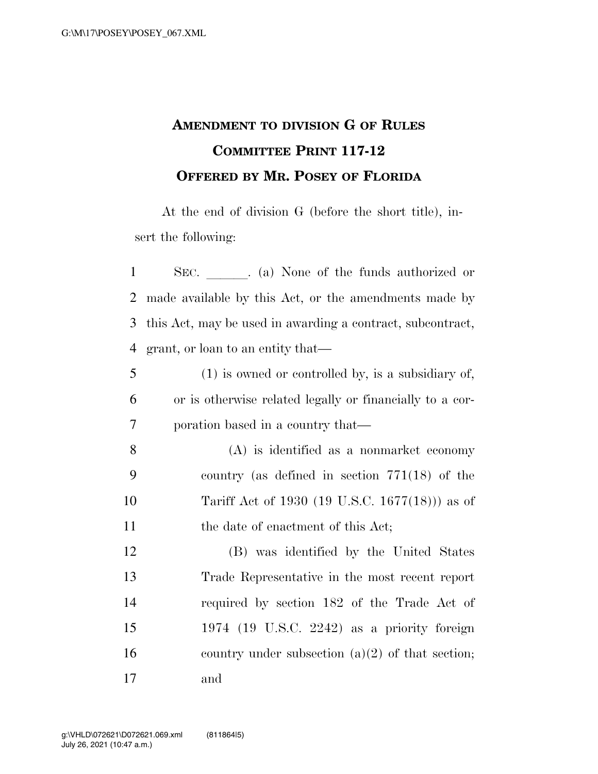## **AMENDMENT TO DIVISION G OF RULES COMMITTEE PRINT 117-12 OFFERED BY MR. POSEY OF FLORIDA**

At the end of division G (before the short title), insert the following:

| $\mathbf{1}$   | SEC. _______. (a) None of the funds authorized or          |
|----------------|------------------------------------------------------------|
| $\overline{2}$ | made available by this Act, or the amendments made by      |
| 3              | this Act, may be used in awarding a contract, subcontract, |
| $\overline{4}$ | grant, or loan to an entity that—                          |
| 5              | $(1)$ is owned or controlled by, is a subsidiary of,       |
| 6              | or is otherwise related legally or financially to a cor-   |
| 7              | poration based in a country that—                          |
| 8              | $(A)$ is identified as a nonmarket economy                 |
| 9              | country (as defined in section $771(18)$ of the            |
| 10             | Tariff Act of 1930 (19 U.S.C. 1677(18))) as of             |
| 11             | the date of enactment of this Act;                         |
| 12             | (B) was identified by the United States                    |
| 13             | Trade Representative in the most recent report             |
| 14             | required by section 182 of the Trade Act of                |
| 15             | $1974$ (19 U.S.C. 2242) as a priority foreign              |
| 16             | country under subsection $(a)(2)$ of that section;         |
| 17             | and                                                        |